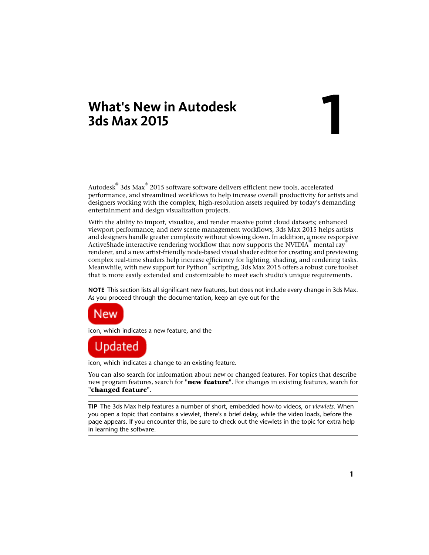# **What's New in Autodesk 3ds Max 2015**

# **1**

Autodesk $^\circ$  3ds Max $^\circ$  2015 software software delivers efficient new tools, accelerated performance, and streamlined workflows to help increase overall productivity for artists and designers working with the complex, high-resolution assets required by today's demanding entertainment and design visualization projects.

With the ability to import, visualize, and render massive point cloud datasets; enhanced viewport performance; and new scene management workflows, 3ds Max 2015 helps artists and designers handle greater complexity without slowing down. In addition, a more responsive ActiveShade interactive rendering workflow that now supports the NVIDIA® mental ray® renderer, and a new artist-friendly node-based visual shader editor for creating and previewing complex real-time shaders help increase efficiency for lighting, shading, and rendering tasks. Meanwhile, with new support for Python® scripting, 3ds Max 2015 offers a robust core toolset that is more easily extended and customizable to meet each studio's unique requirements.

**NOTE** This section lists all significant new features, but does not include every change in 3ds Max. As you proceed through the documentation, keep an eye out for the



icon, which indicates a new feature, and the



icon, which indicates a change to an existing feature.

You can also search for information about new or changed features. For topics that describe new program features, search for **"new feature"**. For changes in existing features, search for **"changed feature"**.

**TIP** The 3ds Max help features a number of short, embedded how-to videos, or *viewlets*. When you open a topic that contains a viewlet, there's a brief delay, while the video loads, before the page appears. If you encounter this, be sure to check out the viewlets in the topic for extra help in learning the software.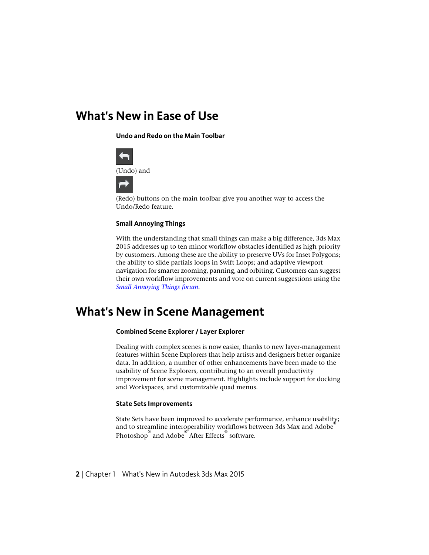### **What's New in Ease of Use**

**Undo and Redo on the Main Toolbar**



(Redo) buttons on the main toolbar give you another way to access the Undo/Redo feature.

#### **Small Annoying Things**

With the understanding that small things can make a big difference, 3ds Max 2015 addresses up to ten minor workflow obstacles identified as high priority by customers. Among these are the ability to preserve UVs for Inset Polygons; the ability to slide partials loops in Swift Loops; and adaptive viewport navigation for smarter zooming, panning, and orbiting. Customers can suggest their own workflow improvements and vote on current suggestions using the *[Small Annoying Things forum](http://3dsmaxfeedback.autodesk.com/forums/76763-small-annoying-things)*.

## **What's New in Scene Management**

#### **Combined Scene Explorer / Layer Explorer**

Dealing with complex scenes is now easier, thanks to new layer-management features within Scene Explorers that help artists and designers better organize data. In addition, a number of other enhancements have been made to the usability of Scene Explorers, contributing to an overall productivity improvement for scene management. Highlights include support for docking and Workspaces, and customizable quad menus.

#### **State Sets Improvements**

State Sets have been improved to accelerate performance, enhance usability; and to streamline interoperability workflows between 3ds Max and Adobe Photoshop ® and Adobe ® After Effects ® software.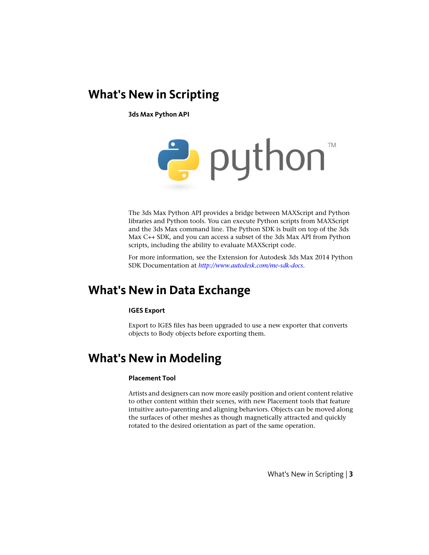## **What's New in Scripting**

**3ds Max Python API**



The 3ds Max Python API provides a bridge between MAXScript and Python libraries and Python tools. You can execute Python scripts from MAXScript and the 3ds Max command line. The Python SDK is built on top of the 3ds Max C++ SDK, and you can access a subset of the 3ds Max API from Python scripts, including the ability to evaluate MAXScript code.

For more information, see the Extension for Autodesk 3ds Max 2014 Python SDK Documentation at *<http://www.autodesk.com/me-sdk-docs>*.

## **What's New in Data Exchange**

#### **IGES Export**

Export to IGES files has been upgraded to use a new exporter that converts objects to Body objects before exporting them.

## **What's New in Modeling**

#### **Placement Tool**

Artists and designers can now more easily position and orient content relative to other content within their scenes, with new Placement tools that feature intuitive auto-parenting and aligning behaviors. Objects can be moved along the surfaces of other meshes as though magnetically attracted and quickly rotated to the desired orientation as part of the same operation.

What's New in Scripting | **3**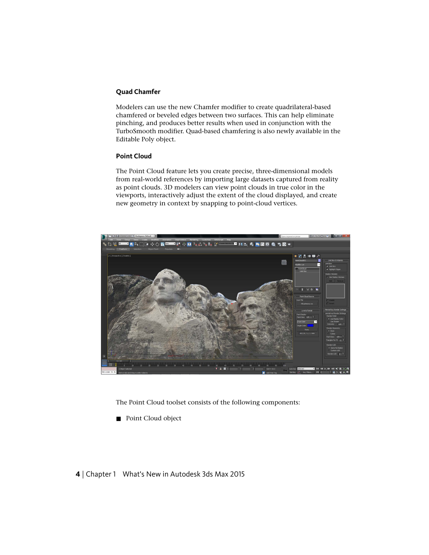#### **Quad Chamfer**

Modelers can use the new Chamfer modifier to create quadrilateral-based chamfered or beveled edges between two surfaces. This can help eliminate pinching, and produces better results when used in conjunction with the TurboSmooth modifier. Quad-based chamfering is also newly available in the Editable Poly object.

#### **Point Cloud**

The Point Cloud feature lets you create precise, three-dimensional models from real-world references by importing large datasets captured from reality as point clouds. 3D modelers can view point clouds in true color in the viewports, interactively adjust the extent of the cloud displayed, and create new geometry in context by snapping to point-cloud vertices.



The Point Cloud toolset consists of the following components:

■ Point Cloud object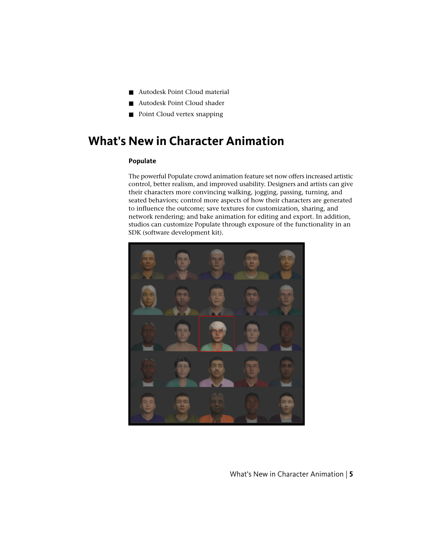- Autodesk Point Cloud material
- Autodesk Point Cloud shader
- Point Cloud vertex snapping

# **What's New in Character Animation**

#### **Populate**

The powerful Populate crowd animation feature set now offers increased artistic control, better realism, and improved usability. Designers and artists can give their characters more convincing walking, jogging, passing, turning, and seated behaviors; control more aspects of how their characters are generated to influence the outcome; save textures for customization, sharing, and network rendering; and bake animation for editing and export. In addition, studios can customize Populate through exposure of the functionality in an SDK (software development kit).



What's New in Character Animation | **5**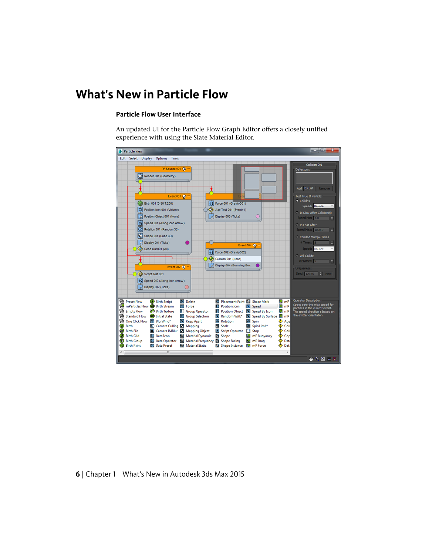# **What's New in Particle Flow**

#### **Particle Flow User Interface**

An updated UI for the Particle Flow Graph Editor offers a closely unified experience with using the Slate Material Editor.

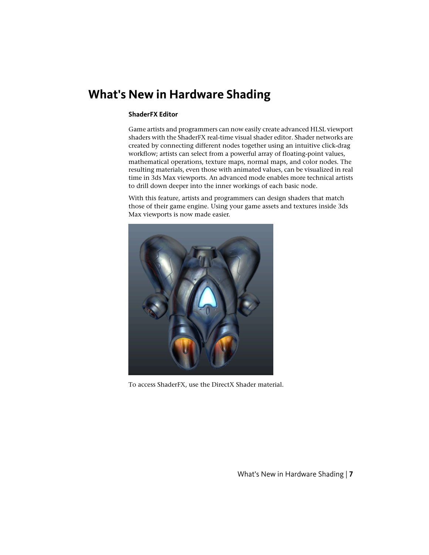# **What's New in Hardware Shading**

#### **ShaderFX Editor**

Game artists and programmers can now easily create advanced HLSL viewport shaders with the ShaderFX real-time visual shader editor. Shader networks are created by connecting different nodes together using an intuitive click-drag workflow; artists can select from a powerful array of floating-point values, mathematical operations, texture maps, normal maps, and color nodes. The resulting materials, even those with animated values, can be visualized in real time in 3ds Max viewports. An advanced mode enables more technical artists to drill down deeper into the inner workings of each basic node.

With this feature, artists and programmers can design shaders that match those of their game engine. Using your game assets and textures inside 3ds Max viewports is now made easier.



To access ShaderFX, use the DirectX Shader material.

What's New in Hardware Shading | **7**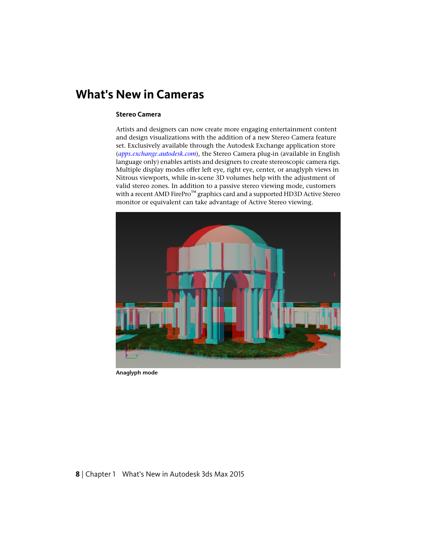# **What's New in Cameras**

#### **Stereo Camera**

Artists and designers can now create more engaging entertainment content and design visualizations with the addition of a new Stereo Camera feature set. Exclusively available through the Autodesk Exchange application store (*[apps.exchange.autodesk.com](http://apps.exchange.autodesk.com/)*), the Stereo Camera plug-in (available in English language only) enables artists and designers to create stereoscopic camera rigs. Multiple display modes offer left eye, right eye, center, or anaglyph views in Nitrous viewports, while in-scene 3D volumes help with the adjustment of valid stereo zones. In addition to a passive stereo viewing mode, customers with a recent AMD FirePro™ graphics card and a supported HD3D Active Stereo monitor or equivalent can take advantage of Active Stereo viewing.



**Anaglyph mode**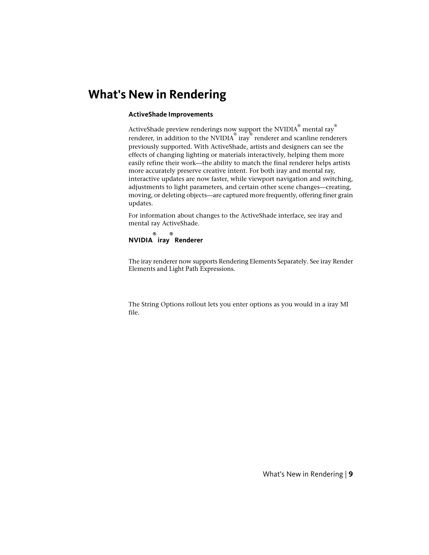# <span id="page-8-0"></span>**What's New in Rendering**

#### **ActiveShade Improvements**

ActiveShade preview renderings now support the NVIDIA $^\circ$  mental ray $^\circ$ renderer, in addition to the NVIDIA<sup>®</sup> iray® renderer and scanline renderers previously supported. With ActiveShade, artists and designers can see the effects of changing lighting or materials interactively, helping them more easily refine their work—the ability to match the final renderer helps artists more accurately preserve creative intent. For both iray and mental ray, interactive updates are now faster, while viewport navigation and switching, adjustments to light parameters, and certain other scene changes—creating, moving, or deleting objects—are captured more frequently, offering finer grain updates.

For information about changes to the ActiveShade interface, see iray and mental ray ActiveShade.

**NVIDIA iray Renderer ® ®**

The iray renderer now supports Rendering Elements Separately. See iray Render Elements and Light Path Expressions.

The String Options rollout lets you enter options as you would in a iray MI file.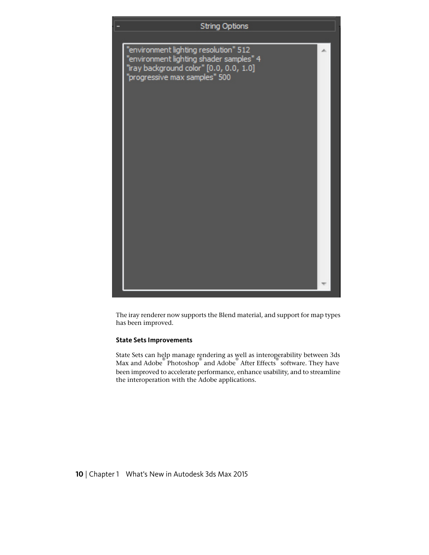

The iray renderer now supports the Blend material, and support for map types has been improved.

#### **State Sets Improvements**

State Sets can help manage rendering as well as interoperability between 3ds Max and Adobe Photoshop and Adobe After Effects software. They have been improved to accelerate performance, enhance usability, and to streamline the interoperation with the Adobe applications.